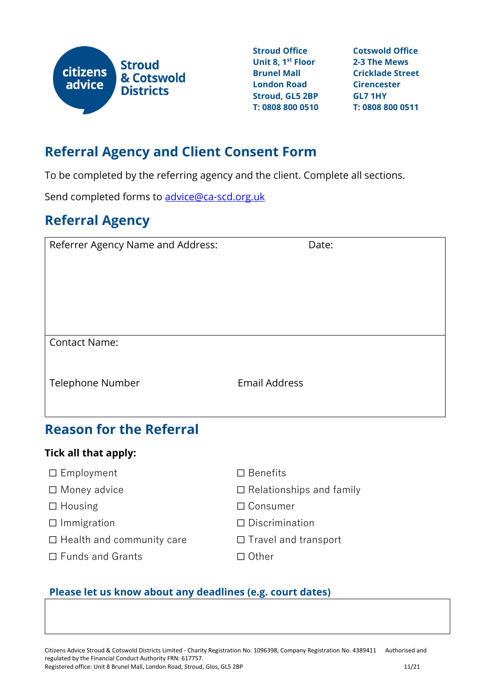

**Stroud Office Unit 8, 1st Floor Brunel Mall London Road Stroud, GL5 2BP T: 0808 800 0510 T: 0808 800 0511**

**Cotswold Office 2-3 The Mews Cricklade Street Cirencester GL7 1HY**

## **Referral Agency and Client Consent Form**

To be completed by the referring agency and the client. Complete all sections.

Send completed forms to [advice@ca-scd.org.uk](mailto:advice@ca-scd.org.uk?subject=Referral%20with%20consent)

# **Referral Agency**

| Referrer Agency Name and Address: | Date:                |
|-----------------------------------|----------------------|
| <b>Contact Name:</b>              |                      |
| Telephone Number                  | <b>Email Address</b> |

### **Reason for the Referral**

#### **Tick all that apply:**

- ☐ Employment
- ☐ Money advice
- ☐ Housing
- ☐ Immigration
- □ Health and community care
- □ Funds and Grants
- ☐ Benefits
- ☐ Relationships and family
- ☐ Consumer
- ☐ Discrimination
- ☐ Travel and transport
- ☐ Other

### **Please let us know about any deadlines (e.g. court dates)**

Citizens Advice Stroud & Cotswold Districts Limited - Charity Registration No. 1096398, Company Registration No. 4389411 Authorised and regulated by the Financial Conduct Authority FRN: 617757. Registered office: Unit 8 Brunel Mall, London Road, Stroud, Glos, GL5 2BP 11/21